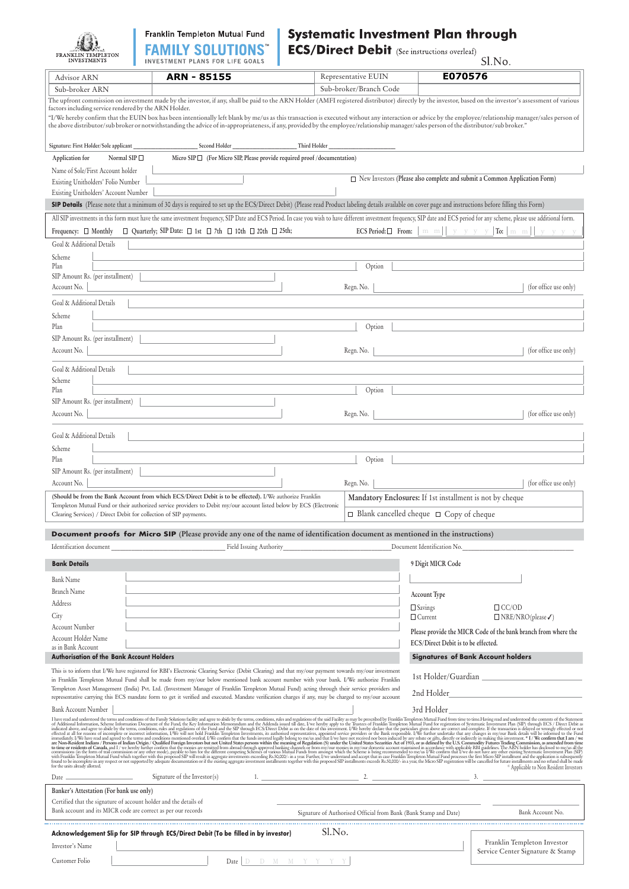| <b>FRANKLIN TEMPLETON</b> |
|---------------------------|
| <b>INVESTMENTS</b>        |

# Franklin Templeton Mutual Fund **FAMILY SOLUTIONS**

# Systematic Investment Plan through

**ECS/Direct Debit** (See instructions overleaf) Sl.No.

|                                                                   |                                                                                                                                                                                                                                                                                           |                                                                                                                  |                                                                  |                                                           | 21.TV.                                                                                                                                                                                                                                                                                                                                                                                                                                                                                            |
|-------------------------------------------------------------------|-------------------------------------------------------------------------------------------------------------------------------------------------------------------------------------------------------------------------------------------------------------------------------------------|------------------------------------------------------------------------------------------------------------------|------------------------------------------------------------------|-----------------------------------------------------------|---------------------------------------------------------------------------------------------------------------------------------------------------------------------------------------------------------------------------------------------------------------------------------------------------------------------------------------------------------------------------------------------------------------------------------------------------------------------------------------------------|
| <b>Advisor ARN</b>                                                | ARN - 85155                                                                                                                                                                                                                                                                               |                                                                                                                  | Representative EUIN                                              | E070576                                                   |                                                                                                                                                                                                                                                                                                                                                                                                                                                                                                   |
| Sub-broker ARN                                                    |                                                                                                                                                                                                                                                                                           |                                                                                                                  | Sub-broker/Branch Code                                           |                                                           |                                                                                                                                                                                                                                                                                                                                                                                                                                                                                                   |
|                                                                   |                                                                                                                                                                                                                                                                                           |                                                                                                                  |                                                                  |                                                           | The upfront commission on investment made by the investor, if any, shall be paid to the ARN Holder (AMFI registered distributor) directly by the investor, based on the investor's assessment of various                                                                                                                                                                                                                                                                                          |
| factors including service rendered by the ARN Holder.             |                                                                                                                                                                                                                                                                                           |                                                                                                                  |                                                                  |                                                           |                                                                                                                                                                                                                                                                                                                                                                                                                                                                                                   |
|                                                                   |                                                                                                                                                                                                                                                                                           |                                                                                                                  |                                                                  |                                                           | "I/We hereby confirm that the EUIN box has been intentionally left blank by me/us as this transaction is executed without any interaction or advice by the employee/relationship manager/sales person of                                                                                                                                                                                                                                                                                          |
|                                                                   | the above distributor/sub broker or notwithstanding the advice of in-appropriateness, if any, provided by the employee/relationship manager/sales person of the distributor/sub broker."                                                                                                  |                                                                                                                  |                                                                  |                                                           |                                                                                                                                                                                                                                                                                                                                                                                                                                                                                                   |
|                                                                   |                                                                                                                                                                                                                                                                                           |                                                                                                                  |                                                                  |                                                           |                                                                                                                                                                                                                                                                                                                                                                                                                                                                                                   |
| Signature: First Holder/Sole applicant                            | Second Holder                                                                                                                                                                                                                                                                             | Third Holder                                                                                                     |                                                                  |                                                           |                                                                                                                                                                                                                                                                                                                                                                                                                                                                                                   |
| Application for<br>Normal SIP $\Box$                              |                                                                                                                                                                                                                                                                                           | Micro $SIP \Box$ (For Micro SIP, Please provide required proof /documentation)                                   |                                                                  |                                                           |                                                                                                                                                                                                                                                                                                                                                                                                                                                                                                   |
| Name of Sole/First Account holder                                 |                                                                                                                                                                                                                                                                                           |                                                                                                                  |                                                                  |                                                           |                                                                                                                                                                                                                                                                                                                                                                                                                                                                                                   |
|                                                                   |                                                                                                                                                                                                                                                                                           |                                                                                                                  |                                                                  |                                                           | □ New Investors (Please also complete and submit a Common Application Form)                                                                                                                                                                                                                                                                                                                                                                                                                       |
| Existing Unitholders' Folio Number                                |                                                                                                                                                                                                                                                                                           |                                                                                                                  |                                                                  |                                                           |                                                                                                                                                                                                                                                                                                                                                                                                                                                                                                   |
| Existing Unitholders' Account Number                              |                                                                                                                                                                                                                                                                                           |                                                                                                                  |                                                                  |                                                           |                                                                                                                                                                                                                                                                                                                                                                                                                                                                                                   |
|                                                                   | SIP Details (Please note that a minimum of 30 days is required to set up the ECS/Direct Debit) (Please read Product labeling details available on cover page and instructions before filling this Form)                                                                                   |                                                                                                                  |                                                                  |                                                           |                                                                                                                                                                                                                                                                                                                                                                                                                                                                                                   |
|                                                                   |                                                                                                                                                                                                                                                                                           |                                                                                                                  |                                                                  |                                                           | All SIP investments in this form must have the same investment frequency, SIP Date and ECS Period. In case you wish to have different investment frequency, SIP date and ECS period for any scheme, please use additional form                                                                                                                                                                                                                                                                    |
|                                                                   |                                                                                                                                                                                                                                                                                           |                                                                                                                  |                                                                  |                                                           |                                                                                                                                                                                                                                                                                                                                                                                                                                                                                                   |
| Frequency: $\Box$ Monthly                                         | $\Box$ Quarterly; SIP Date: $\Box$ 1st $\Box$ 7th $\Box$ 10th $\Box$ 20th $\Box$ 25th;                                                                                                                                                                                                    |                                                                                                                  |                                                                  |                                                           | <b>ECS Period:</b> $\Box$ From: $\vert$ m m $\vert$ y y y y $\vert$ To: $\vert$ m m $\vert$ y y y y                                                                                                                                                                                                                                                                                                                                                                                               |
| Goal & Additional Details                                         |                                                                                                                                                                                                                                                                                           |                                                                                                                  |                                                                  |                                                           |                                                                                                                                                                                                                                                                                                                                                                                                                                                                                                   |
| Scheme                                                            |                                                                                                                                                                                                                                                                                           |                                                                                                                  |                                                                  |                                                           |                                                                                                                                                                                                                                                                                                                                                                                                                                                                                                   |
| Plan                                                              |                                                                                                                                                                                                                                                                                           |                                                                                                                  | Option                                                           |                                                           |                                                                                                                                                                                                                                                                                                                                                                                                                                                                                                   |
| SIP Amount Rs. (per installment)                                  |                                                                                                                                                                                                                                                                                           |                                                                                                                  |                                                                  |                                                           |                                                                                                                                                                                                                                                                                                                                                                                                                                                                                                   |
| Account No.                                                       |                                                                                                                                                                                                                                                                                           |                                                                                                                  | Regn. No.                                                        |                                                           | (for office use only)                                                                                                                                                                                                                                                                                                                                                                                                                                                                             |
|                                                                   |                                                                                                                                                                                                                                                                                           |                                                                                                                  |                                                                  |                                                           |                                                                                                                                                                                                                                                                                                                                                                                                                                                                                                   |
| Goal & Additional Details                                         |                                                                                                                                                                                                                                                                                           |                                                                                                                  |                                                                  |                                                           |                                                                                                                                                                                                                                                                                                                                                                                                                                                                                                   |
| Scheme                                                            |                                                                                                                                                                                                                                                                                           |                                                                                                                  |                                                                  |                                                           |                                                                                                                                                                                                                                                                                                                                                                                                                                                                                                   |
| Plan                                                              |                                                                                                                                                                                                                                                                                           |                                                                                                                  | Option                                                           |                                                           |                                                                                                                                                                                                                                                                                                                                                                                                                                                                                                   |
| SIP Amount Rs. (per installment)                                  |                                                                                                                                                                                                                                                                                           |                                                                                                                  |                                                                  |                                                           |                                                                                                                                                                                                                                                                                                                                                                                                                                                                                                   |
|                                                                   |                                                                                                                                                                                                                                                                                           |                                                                                                                  |                                                                  |                                                           |                                                                                                                                                                                                                                                                                                                                                                                                                                                                                                   |
| Account No.                                                       |                                                                                                                                                                                                                                                                                           |                                                                                                                  | Regn. No.                                                        |                                                           | (for office use only)                                                                                                                                                                                                                                                                                                                                                                                                                                                                             |
| Goal & Additional Details                                         |                                                                                                                                                                                                                                                                                           |                                                                                                                  |                                                                  |                                                           |                                                                                                                                                                                                                                                                                                                                                                                                                                                                                                   |
|                                                                   |                                                                                                                                                                                                                                                                                           |                                                                                                                  |                                                                  |                                                           |                                                                                                                                                                                                                                                                                                                                                                                                                                                                                                   |
| Scheme<br>Plan                                                    |                                                                                                                                                                                                                                                                                           |                                                                                                                  |                                                                  |                                                           |                                                                                                                                                                                                                                                                                                                                                                                                                                                                                                   |
|                                                                   |                                                                                                                                                                                                                                                                                           |                                                                                                                  | Option                                                           |                                                           |                                                                                                                                                                                                                                                                                                                                                                                                                                                                                                   |
| SIP Amount Rs. (per installment)                                  |                                                                                                                                                                                                                                                                                           |                                                                                                                  |                                                                  |                                                           |                                                                                                                                                                                                                                                                                                                                                                                                                                                                                                   |
| Account No.                                                       |                                                                                                                                                                                                                                                                                           |                                                                                                                  | Regn. No.                                                        |                                                           | (for office use only)                                                                                                                                                                                                                                                                                                                                                                                                                                                                             |
|                                                                   |                                                                                                                                                                                                                                                                                           |                                                                                                                  |                                                                  |                                                           |                                                                                                                                                                                                                                                                                                                                                                                                                                                                                                   |
| Goal & Additional Details                                         |                                                                                                                                                                                                                                                                                           |                                                                                                                  |                                                                  |                                                           |                                                                                                                                                                                                                                                                                                                                                                                                                                                                                                   |
| Scheme                                                            |                                                                                                                                                                                                                                                                                           |                                                                                                                  |                                                                  |                                                           |                                                                                                                                                                                                                                                                                                                                                                                                                                                                                                   |
| Plan                                                              |                                                                                                                                                                                                                                                                                           |                                                                                                                  |                                                                  |                                                           |                                                                                                                                                                                                                                                                                                                                                                                                                                                                                                   |
|                                                                   |                                                                                                                                                                                                                                                                                           |                                                                                                                  | Option                                                           |                                                           |                                                                                                                                                                                                                                                                                                                                                                                                                                                                                                   |
| SIP Amount Rs. (per installment)                                  |                                                                                                                                                                                                                                                                                           |                                                                                                                  |                                                                  |                                                           |                                                                                                                                                                                                                                                                                                                                                                                                                                                                                                   |
| Account No.                                                       |                                                                                                                                                                                                                                                                                           |                                                                                                                  | Regn. No.                                                        |                                                           | (for office use only)                                                                                                                                                                                                                                                                                                                                                                                                                                                                             |
|                                                                   | (Should be from the Bank Account from which ECS/Direct Debit is to be effected). I/We authorize Franklin                                                                                                                                                                                  |                                                                                                                  |                                                                  | Mandatory Enclosures: If 1st installment is not by cheque |                                                                                                                                                                                                                                                                                                                                                                                                                                                                                                   |
|                                                                   | Templeton Mutual Fund or their authorized service providers to Debit my/our account listed below by ECS (Electronic                                                                                                                                                                       |                                                                                                                  |                                                                  |                                                           |                                                                                                                                                                                                                                                                                                                                                                                                                                                                                                   |
| Clearing Services) / Direct Debit for collection of SIP payments. |                                                                                                                                                                                                                                                                                           |                                                                                                                  |                                                                  | $\Box$ Blank cancelled cheque $\Box$ Copy of cheque       |                                                                                                                                                                                                                                                                                                                                                                                                                                                                                                   |
|                                                                   |                                                                                                                                                                                                                                                                                           |                                                                                                                  |                                                                  |                                                           |                                                                                                                                                                                                                                                                                                                                                                                                                                                                                                   |
|                                                                   | Document proofs for Micro SIP (Please provide any one of the name of identification document as mentioned in the instructions)                                                                                                                                                            |                                                                                                                  |                                                                  |                                                           |                                                                                                                                                                                                                                                                                                                                                                                                                                                                                                   |
| Identification document                                           |                                                                                                                                                                                                                                                                                           | Field Issuing Authority                                                                                          |                                                                  | Document Identification No.                               |                                                                                                                                                                                                                                                                                                                                                                                                                                                                                                   |
|                                                                   |                                                                                                                                                                                                                                                                                           |                                                                                                                  |                                                                  |                                                           |                                                                                                                                                                                                                                                                                                                                                                                                                                                                                                   |
| <b>Bank Details</b>                                               |                                                                                                                                                                                                                                                                                           |                                                                                                                  |                                                                  |                                                           |                                                                                                                                                                                                                                                                                                                                                                                                                                                                                                   |
| Bank Name                                                         |                                                                                                                                                                                                                                                                                           |                                                                                                                  |                                                                  | 9 Digit MICR Code                                         |                                                                                                                                                                                                                                                                                                                                                                                                                                                                                                   |
|                                                                   |                                                                                                                                                                                                                                                                                           |                                                                                                                  |                                                                  |                                                           |                                                                                                                                                                                                                                                                                                                                                                                                                                                                                                   |
|                                                                   |                                                                                                                                                                                                                                                                                           |                                                                                                                  |                                                                  |                                                           |                                                                                                                                                                                                                                                                                                                                                                                                                                                                                                   |
| Branch Name                                                       |                                                                                                                                                                                                                                                                                           |                                                                                                                  |                                                                  | Account Type                                              |                                                                                                                                                                                                                                                                                                                                                                                                                                                                                                   |
| Address                                                           |                                                                                                                                                                                                                                                                                           |                                                                                                                  |                                                                  | $\Box$ Savings                                            | $\Box$ CC/OD                                                                                                                                                                                                                                                                                                                                                                                                                                                                                      |
| City                                                              |                                                                                                                                                                                                                                                                                           | and the control of the control of the control of the control of the control of the control of the control of the |                                                                  | $\Box$ Current                                            | $\Box$ NRE/NRO(please $\checkmark$ )                                                                                                                                                                                                                                                                                                                                                                                                                                                              |
| <b>Account Number</b>                                             |                                                                                                                                                                                                                                                                                           |                                                                                                                  |                                                                  |                                                           |                                                                                                                                                                                                                                                                                                                                                                                                                                                                                                   |
| Account Holder Name                                               |                                                                                                                                                                                                                                                                                           |                                                                                                                  |                                                                  |                                                           | Please provide the MICR Code of the bank branch from where the                                                                                                                                                                                                                                                                                                                                                                                                                                    |
| as in Bank Account                                                |                                                                                                                                                                                                                                                                                           |                                                                                                                  |                                                                  | ECS/Direct Debit is to be effected.                       |                                                                                                                                                                                                                                                                                                                                                                                                                                                                                                   |
| <b>Authorisation of the Bank Account Holders</b>                  |                                                                                                                                                                                                                                                                                           |                                                                                                                  |                                                                  |                                                           | <b>Signatures of Bank Account holders</b>                                                                                                                                                                                                                                                                                                                                                                                                                                                         |
|                                                                   |                                                                                                                                                                                                                                                                                           |                                                                                                                  |                                                                  |                                                           |                                                                                                                                                                                                                                                                                                                                                                                                                                                                                                   |
|                                                                   | This is to inform that I/We have registered for RBI's Electronic Clearing Service (Debit Clearing) and that my/our payment towards my/our investment                                                                                                                                      |                                                                                                                  |                                                                  |                                                           |                                                                                                                                                                                                                                                                                                                                                                                                                                                                                                   |
|                                                                   | in Franklin Templeton Mutual Fund shall be made from my/our below mentioned bank account number with your bank. I/We authorize Franklin<br>Templeton Asset Management (India) Pvt. Ltd. (Investment Manager of Franklin Templeton Mutual Fund) acting through their service providers and |                                                                                                                  |                                                                  |                                                           |                                                                                                                                                                                                                                                                                                                                                                                                                                                                                                   |
|                                                                   | representative carrying this ECS mandate form to get it verified and executed. Mandate verification charges if any, may be charged to my/our account                                                                                                                                      |                                                                                                                  |                                                                  | 2nd Holder                                                |                                                                                                                                                                                                                                                                                                                                                                                                                                                                                                   |
|                                                                   |                                                                                                                                                                                                                                                                                           |                                                                                                                  |                                                                  |                                                           |                                                                                                                                                                                                                                                                                                                                                                                                                                                                                                   |
| Bank Account Number                                               |                                                                                                                                                                                                                                                                                           |                                                                                                                  |                                                                  | 3rd Holder                                                |                                                                                                                                                                                                                                                                                                                                                                                                                                                                                                   |
|                                                                   |                                                                                                                                                                                                                                                                                           |                                                                                                                  |                                                                  |                                                           |                                                                                                                                                                                                                                                                                                                                                                                                                                                                                                   |
|                                                                   |                                                                                                                                                                                                                                                                                           |                                                                                                                  |                                                                  |                                                           |                                                                                                                                                                                                                                                                                                                                                                                                                                                                                                   |
|                                                                   |                                                                                                                                                                                                                                                                                           |                                                                                                                  |                                                                  |                                                           |                                                                                                                                                                                                                                                                                                                                                                                                                                                                                                   |
|                                                                   |                                                                                                                                                                                                                                                                                           |                                                                                                                  |                                                                  |                                                           |                                                                                                                                                                                                                                                                                                                                                                                                                                                                                                   |
|                                                                   |                                                                                                                                                                                                                                                                                           |                                                                                                                  |                                                                  |                                                           |                                                                                                                                                                                                                                                                                                                                                                                                                                                                                                   |
| $Date$ $\_\_$                                                     |                                                                                                                                                                                                                                                                                           |                                                                                                                  |                                                                  |                                                           |                                                                                                                                                                                                                                                                                                                                                                                                                                                                                                   |
|                                                                   |                                                                                                                                                                                                                                                                                           |                                                                                                                  |                                                                  |                                                           |                                                                                                                                                                                                                                                                                                                                                                                                                                                                                                   |
| Banker's Attestation (For bank use only)                          |                                                                                                                                                                                                                                                                                           |                                                                                                                  |                                                                  |                                                           |                                                                                                                                                                                                                                                                                                                                                                                                                                                                                                   |
| Certified that the signature of account holder and the details of |                                                                                                                                                                                                                                                                                           |                                                                                                                  |                                                                  |                                                           | $\label{t:1} \begin{minipage}[t]{0.99\textwidth}\begin{minipage}[t]{0.99\textwidth}\begin{minipage}[t]{0.99\textwidth}\begin{minipage}[t]{0.99\textwidth}\begin{minipage}[t]{0.99\textwidth}\begin{minipage}[t]{0.99\textwidth}\begin{minipage}[t]{0.99\textwidth}\begin{minipage}[t]{0.99\textwidth}\begin{minipage}[t]{0.99\textwidth}\begin{minipage}[t]{0.99\textwidth}\begin{minipage}[t]{0.99\textwidth}\begin{minipage}[t]{0.99\textwidth}\begin{minipage}[t]{0.99\textwidth}\begin{minip$ |
| Bank account and its MICR code are correct as per our records     |                                                                                                                                                                                                                                                                                           |                                                                                                                  | Signature of Authorised Official from Bank (Bank Stamp and Date) |                                                           | Bank Account No.                                                                                                                                                                                                                                                                                                                                                                                                                                                                                  |
|                                                                   |                                                                                                                                                                                                                                                                                           |                                                                                                                  |                                                                  |                                                           |                                                                                                                                                                                                                                                                                                                                                                                                                                                                                                   |
|                                                                   | Acknowledgement Slip for SIP through ECS/Direct Debit (To be filled in by investor)                                                                                                                                                                                                       |                                                                                                                  | Sl.No.                                                           |                                                           |                                                                                                                                                                                                                                                                                                                                                                                                                                                                                                   |
| Investor's Name                                                   |                                                                                                                                                                                                                                                                                           |                                                                                                                  |                                                                  |                                                           | Franklin Templeton Investor                                                                                                                                                                                                                                                                                                                                                                                                                                                                       |
| Customer Folio                                                    |                                                                                                                                                                                                                                                                                           | Date $D$ D M M Y Y Y Y Y                                                                                         |                                                                  |                                                           | Service Center Signature & Stamp                                                                                                                                                                                                                                                                                                                                                                                                                                                                  |